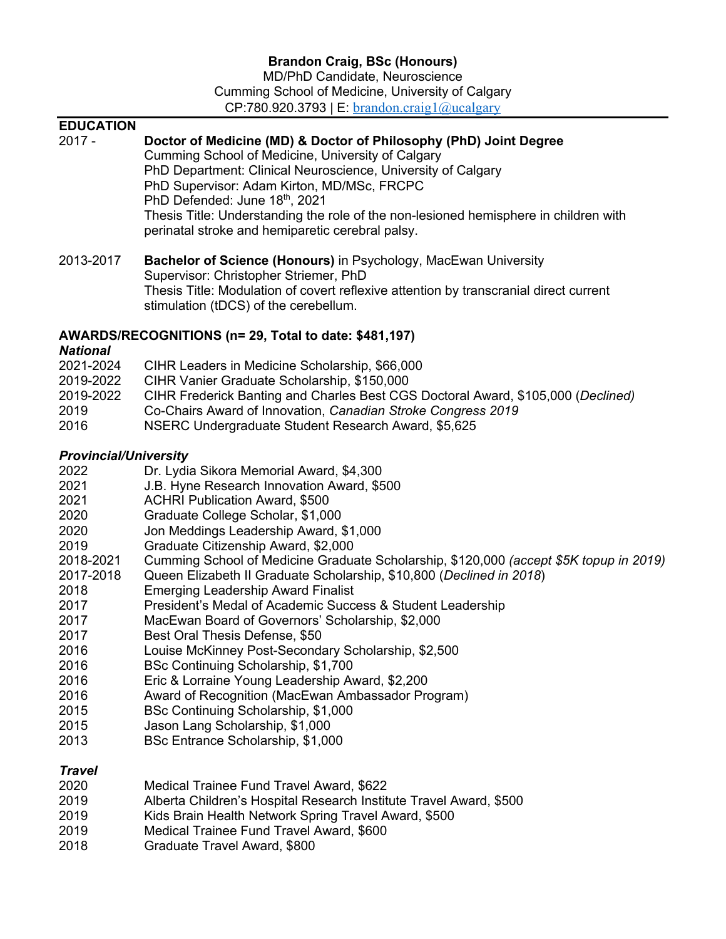MD/PhD Candidate, Neuroscience Cumming School of Medicine, University of Calgary  $CP:780.920.3793$  | E: brandon.craig1@ucalgary

#### **EDUCATION**

| <b>EDUCATION</b><br>$2017 -$                                                                                                                                   | Doctor of Medicine (MD) & Doctor of Philosophy (PhD) Joint Degree<br>Cumming School of Medicine, University of Calgary<br>PhD Department: Clinical Neuroscience, University of Calgary<br>PhD Supervisor: Adam Kirton, MD/MSc, FRCPC<br>PhD Defended: June 18th, 2021<br>Thesis Title: Understanding the role of the non-lesioned hemisphere in children with<br>perinatal stroke and hemiparetic cerebral palsy.                                                                                                                                                                                                                                                                                                                                                                                                                                                                                                                             |
|----------------------------------------------------------------------------------------------------------------------------------------------------------------|-----------------------------------------------------------------------------------------------------------------------------------------------------------------------------------------------------------------------------------------------------------------------------------------------------------------------------------------------------------------------------------------------------------------------------------------------------------------------------------------------------------------------------------------------------------------------------------------------------------------------------------------------------------------------------------------------------------------------------------------------------------------------------------------------------------------------------------------------------------------------------------------------------------------------------------------------|
| 2013-2017                                                                                                                                                      | Bachelor of Science (Honours) in Psychology, MacEwan University<br>Supervisor: Christopher Striemer, PhD<br>Thesis Title: Modulation of covert reflexive attention by transcranial direct current<br>stimulation (tDCS) of the cerebellum.                                                                                                                                                                                                                                                                                                                                                                                                                                                                                                                                                                                                                                                                                                    |
| <b>National</b>                                                                                                                                                | AWARDS/RECOGNITIONS (n= 29, Total to date: \$481,197)                                                                                                                                                                                                                                                                                                                                                                                                                                                                                                                                                                                                                                                                                                                                                                                                                                                                                         |
| 2021-2024<br>2019-2022<br>2019-2022<br>2019<br>2016                                                                                                            | CIHR Leaders in Medicine Scholarship, \$66,000<br>CIHR Vanier Graduate Scholarship, \$150,000<br>CIHR Frederick Banting and Charles Best CGS Doctoral Award, \$105,000 (Declined)<br>Co-Chairs Award of Innovation, Canadian Stroke Congress 2019<br>NSERC Undergraduate Student Research Award, \$5,625                                                                                                                                                                                                                                                                                                                                                                                                                                                                                                                                                                                                                                      |
| <b>Provincial/University</b>                                                                                                                                   |                                                                                                                                                                                                                                                                                                                                                                                                                                                                                                                                                                                                                                                                                                                                                                                                                                                                                                                                               |
| 2022<br>2021<br>2021<br>2020<br>2020<br>2019<br>2018-2021<br>2017-2018<br>2018<br>2017<br>2017<br>2017<br>2016<br>2016<br>2016<br>2016<br>2015<br>2015<br>2013 | Dr. Lydia Sikora Memorial Award, \$4,300<br>J.B. Hyne Research Innovation Award, \$500<br><b>ACHRI Publication Award, \$500</b><br>Graduate College Scholar, \$1,000<br>Jon Meddings Leadership Award, \$1,000<br>Graduate Citizenship Award, \$2,000<br>Cumming School of Medicine Graduate Scholarship, \$120,000 (accept \$5K topup in 2019)<br>Queen Elizabeth II Graduate Scholarship, \$10,800 (Declined in 2018)<br><b>Emerging Leadership Award Finalist</b><br>President's Medal of Academic Success & Student Leadership<br>MacEwan Board of Governors' Scholarship, \$2,000<br>Best Oral Thesis Defense, \$50<br>Louise McKinney Post-Secondary Scholarship, \$2,500<br>BSc Continuing Scholarship, \$1,700<br>Eric & Lorraine Young Leadership Award, \$2,200<br>Award of Recognition (MacEwan Ambassador Program)<br>BSc Continuing Scholarship, \$1,000<br>Jason Lang Scholarship, \$1,000<br>BSc Entrance Scholarship, \$1,000 |
| <b>Travel</b><br>2020                                                                                                                                          | Medical Trainee Fund Travel Award, \$622                                                                                                                                                                                                                                                                                                                                                                                                                                                                                                                                                                                                                                                                                                                                                                                                                                                                                                      |

- 
- 2019 Alberta Children's Hospital Research Institute Travel Award, \$500<br>2019 Kids Brain Health Network Spring Travel Award, \$500 2019 Kids Brain Health Network Spring Travel Award, \$500<br>2019 Medical Trainee Fund Travel Award, \$600
- Medical Trainee Fund Travel Award, \$600
- 2018 Graduate Travel Award, \$800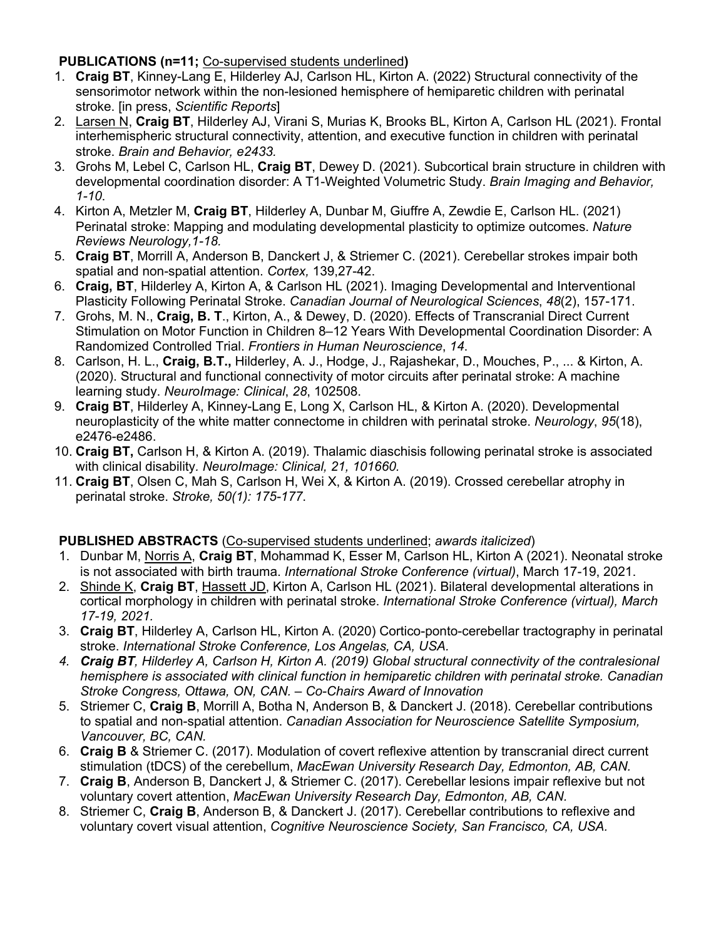### **PUBLICATIONS (n=11;** Co-supervised students underlined**)**

- 1. **Craig BT**, Kinney-Lang E, Hilderley AJ, Carlson HL, Kirton A. (2022) Structural connectivity of the sensorimotor network within the non-lesioned hemisphere of hemiparetic children with perinatal stroke. [in press, *Scientific Reports*]
- 2. Larsen N, **Craig BT**, Hilderley AJ, Virani S, Murias K, Brooks BL, Kirton A, Carlson HL (2021). Frontal interhemispheric structural connectivity, attention, and executive function in children with perinatal stroke. *Brain and Behavior, e2433.*
- 3. Grohs M, Lebel C, Carlson HL, **Craig BT**, Dewey D. (2021). Subcortical brain structure in children with developmental coordination disorder: A T1-Weighted Volumetric Study. *Brain Imaging and Behavior, 1-10*.
- 4. Kirton A, Metzler M, **Craig BT**, Hilderley A, Dunbar M, Giuffre A, Zewdie E, Carlson HL. (2021) Perinatal stroke: Mapping and modulating developmental plasticity to optimize outcomes. *Nature Reviews Neurology,1-18.*
- 5. **Craig BT**, Morrill A, Anderson B, Danckert J, & Striemer C. (2021). Cerebellar strokes impair both spatial and non-spatial attention. *Cortex,* 139,27-42.
- 6. **Craig, BT**, Hilderley A, Kirton A, & Carlson HL (2021). Imaging Developmental and Interventional Plasticity Following Perinatal Stroke. *Canadian Journal of Neurological Sciences*, *48*(2), 157-171.
- 7. Grohs, M. N., **Craig, B. T**., Kirton, A., & Dewey, D. (2020). Effects of Transcranial Direct Current Stimulation on Motor Function in Children 8–12 Years With Developmental Coordination Disorder: A Randomized Controlled Trial. *Frontiers in Human Neuroscience*, *14*.
- 8. Carlson, H. L., **Craig, B.T.,** Hilderley, A. J., Hodge, J., Rajashekar, D., Mouches, P., ... & Kirton, A. (2020). Structural and functional connectivity of motor circuits after perinatal stroke: A machine learning study. *NeuroImage: Clinical*, *28*, 102508.
- 9. **Craig BT**, Hilderley A, Kinney-Lang E, Long X, Carlson HL, & Kirton A. (2020). Developmental neuroplasticity of the white matter connectome in children with perinatal stroke. *Neurology*, *95*(18), e2476-e2486.
- 10. **Craig BT,** Carlson H, & Kirton A. (2019). Thalamic diaschisis following perinatal stroke is associated with clinical disability*. NeuroImage: Clinical, 21, 101660.*
- 11. **Craig BT**, Olsen C, Mah S, Carlson H, Wei X, & Kirton A. (2019). Crossed cerebellar atrophy in perinatal stroke. *Stroke, 50(1): 175-177*.

## **PUBLISHED ABSTRACTS** (Co-supervised students underlined; *awards italicized*)

- 1. Dunbar M, Norris A, **Craig BT**, Mohammad K, Esser M, Carlson HL, Kirton A (2021). Neonatal stroke is not associated with birth trauma. *International Stroke Conference (virtual)*, March 17-19, 2021.
- 2. Shinde K, **Craig BT**, Hassett JD, Kirton A, Carlson HL (2021). Bilateral developmental alterations in cortical morphology in children with perinatal stroke. *International Stroke Conference (virtual), March 17-19, 2021.*
- 3. **Craig BT**, Hilderley A, Carlson HL, Kirton A. (2020) Cortico-ponto-cerebellar tractography in perinatal stroke. *International Stroke Conference, Los Angelas, CA, USA.*
- *4. Craig BT, Hilderley A, Carlson H, Kirton A. (2019) Global structural connectivity of the contralesional hemisphere is associated with clinical function in hemiparetic children with perinatal stroke. Canadian Stroke Congress, Ottawa, ON, CAN. – Co-Chairs Award of Innovation*
- 5. Striemer C, **Craig B**, Morrill A, Botha N, Anderson B, & Danckert J. (2018). Cerebellar contributions to spatial and non-spatial attention. *Canadian Association for Neuroscience Satellite Symposium, Vancouver, BC, CAN.*
- 6. **Craig B** & Striemer C. (2017). Modulation of covert reflexive attention by transcranial direct current stimulation (tDCS) of the cerebellum, *MacEwan University Research Day, Edmonton, AB, CAN.*
- 7. **Craig B**, Anderson B, Danckert J, & Striemer C. (2017). Cerebellar lesions impair reflexive but not voluntary covert attention, *MacEwan University Research Day, Edmonton, AB, CAN.*
- 8. Striemer C, **Craig B**, Anderson B, & Danckert J. (2017). Cerebellar contributions to reflexive and voluntary covert visual attention, *Cognitive Neuroscience Society, San Francisco, CA, USA.*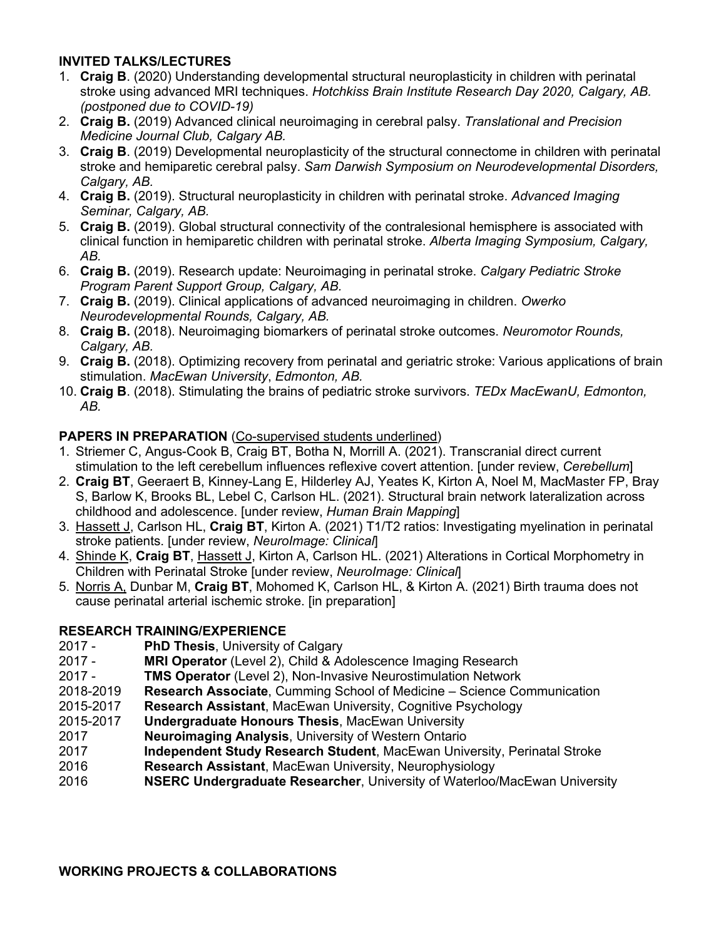## **INVITED TALKS/LECTURES**

- 1. **Craig B**. (2020) Understanding developmental structural neuroplasticity in children with perinatal stroke using advanced MRI techniques. *Hotchkiss Brain Institute Research Day 2020, Calgary, AB. (postponed due to COVID-19)*
- 2. **Craig B.** (2019) Advanced clinical neuroimaging in cerebral palsy. *Translational and Precision Medicine Journal Club, Calgary AB.*
- 3. **Craig B**. (2019) Developmental neuroplasticity of the structural connectome in children with perinatal stroke and hemiparetic cerebral palsy. *Sam Darwish Symposium on Neurodevelopmental Disorders, Calgary, AB.*
- 4. **Craig B.** (2019). Structural neuroplasticity in children with perinatal stroke. *Advanced Imaging Seminar, Calgary, AB.*
- 5. **Craig B.** (2019). Global structural connectivity of the contralesional hemisphere is associated with clinical function in hemiparetic children with perinatal stroke. *Alberta Imaging Symposium, Calgary, AB.*
- 6. **Craig B.** (2019). Research update: Neuroimaging in perinatal stroke. *Calgary Pediatric Stroke Program Parent Support Group, Calgary, AB.*
- 7. **Craig B.** (2019). Clinical applications of advanced neuroimaging in children. *Owerko Neurodevelopmental Rounds, Calgary, AB.*
- 8. **Craig B.** (2018). Neuroimaging biomarkers of perinatal stroke outcomes. *Neuromotor Rounds, Calgary, AB.*
- 9. **Craig B.** (2018). Optimizing recovery from perinatal and geriatric stroke: Various applications of brain stimulation. *MacEwan University*, *Edmonton, AB.*
- 10. **Craig B**. (2018). Stimulating the brains of pediatric stroke survivors. *TEDx MacEwanU, Edmonton, AB.*

## **PAPERS IN PREPARATION** (Co-supervised students underlined)

- 1. Striemer C, Angus-Cook B, Craig BT, Botha N, Morrill A. (2021). Transcranial direct current stimulation to the left cerebellum influences reflexive covert attention. [under review, *Cerebellum*]
- 2. **Craig BT**, Geeraert B, Kinney-Lang E, Hilderley AJ, Yeates K, Kirton A, Noel M, MacMaster FP, Bray S, Barlow K, Brooks BL, Lebel C, Carlson HL. (2021). Structural brain network lateralization across childhood and adolescence. [under review, *Human Brain Mapping*]
- 3. Hassett J, Carlson HL, **Craig BT**, Kirton A. (2021) T1/T2 ratios: Investigating myelination in perinatal stroke patients. [under review, *NeuroImage: Clinical*]
- 4. Shinde K, **Craig BT**, Hassett J, Kirton A, Carlson HL. (2021) Alterations in Cortical Morphometry in Children with Perinatal Stroke [under review, *NeuroImage: Clinical*]
- 5. Norris A, Dunbar M, **Craig BT**, Mohomed K, Carlson HL, & Kirton A. (2021) Birth trauma does not cause perinatal arterial ischemic stroke. [in preparation]

## **RESEARCH TRAINING/EXPERIENCE**

- 2017 **PhD Thesis**, University of Calgary
- 2017 **MRI Operator** (Level 2), Child & Adolescence Imaging Research
- 2017 **TMS Operator** (Level 2), Non-Invasive Neurostimulation Network
- 2018-2019 **Research Associate**, Cumming School of Medicine Science Communication
- 2015-2017 **Research Assistant**, MacEwan University, Cognitive Psychology
- 2015-2017 **Undergraduate Honours Thesis**, MacEwan University
- 2017 **Neuroimaging Analysis**, University of Western Ontario
- 2017 **Independent Study Research Student**, MacEwan University, Perinatal Stroke
- 2016 **Research Assistant**, MacEwan University, Neurophysiology
- 2016 **NSERC Undergraduate Researcher**, University of Waterloo/MacEwan University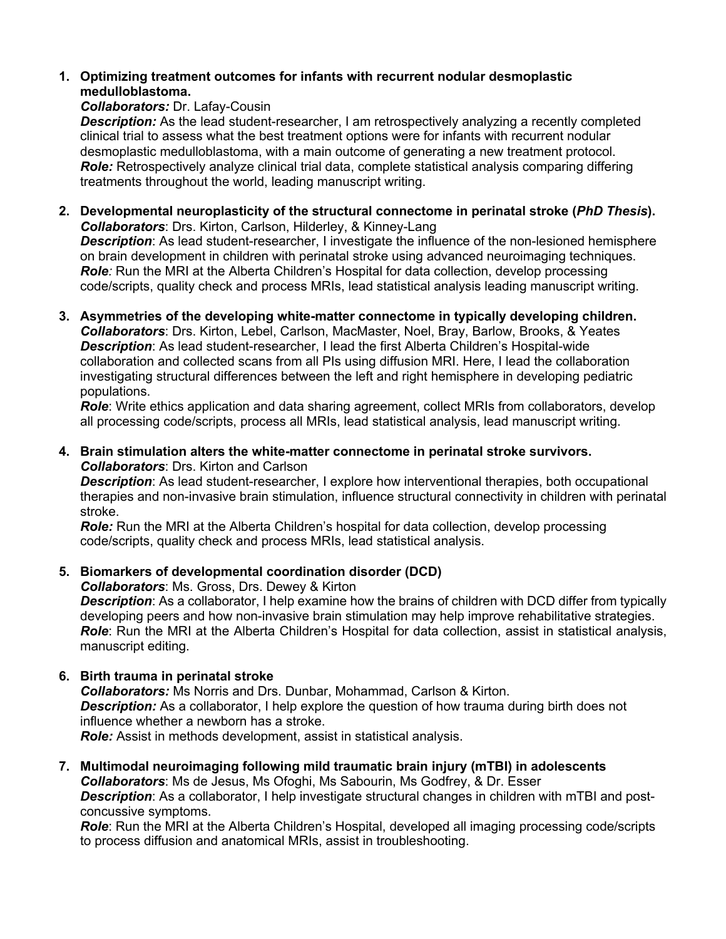## **1. Optimizing treatment outcomes for infants with recurrent nodular desmoplastic medulloblastoma.**

#### *Collaborators:* Dr. Lafay-Cousin

**Description:** As the lead student-researcher, I am retrospectively analyzing a recently completed clinical trial to assess what the best treatment options were for infants with recurrent nodular desmoplastic medulloblastoma, with a main outcome of generating a new treatment protocol. **Role:** Retrospectively analyze clinical trial data, complete statistical analysis comparing differing treatments throughout the world, leading manuscript writing.

- **2. Developmental neuroplasticity of the structural connectome in perinatal stroke (***PhD Thesis***).**  *Collaborators*: Drs. Kirton, Carlson, Hilderley, & Kinney-Lang *Description*: As lead student-researcher, I investigate the influence of the non-lesioned hemisphere on brain development in children with perinatal stroke using advanced neuroimaging techniques. *Role:* Run the MRI at the Alberta Children's Hospital for data collection, develop processing code/scripts, quality check and process MRIs, lead statistical analysis leading manuscript writing.
- **3. Asymmetries of the developing white-matter connectome in typically developing children.** *Collaborators*: Drs. Kirton, Lebel, Carlson, MacMaster, Noel, Bray, Barlow, Brooks, & Yeates *Description*: As lead student-researcher, I lead the first Alberta Children's Hospital-wide collaboration and collected scans from all PIs using diffusion MRI. Here, I lead the collaboration investigating structural differences between the left and right hemisphere in developing pediatric populations.

*Role*: Write ethics application and data sharing agreement, collect MRIs from collaborators, develop all processing code/scripts, process all MRIs, lead statistical analysis, lead manuscript writing.

**4. Brain stimulation alters the white-matter connectome in perinatal stroke survivors.**  *Collaborators*: Drs. Kirton and Carlson

*Description*: As lead student-researcher, I explore how interventional therapies, both occupational therapies and non-invasive brain stimulation, influence structural connectivity in children with perinatal stroke.

*Role:* Run the MRI at the Alberta Children's hospital for data collection, develop processing code/scripts, quality check and process MRIs, lead statistical analysis.

**5. Biomarkers of developmental coordination disorder (DCD)**

*Collaborators*: Ms. Gross, Drs. Dewey & Kirton

*Description*: As a collaborator, I help examine how the brains of children with DCD differ from typically developing peers and how non-invasive brain stimulation may help improve rehabilitative strategies. *Role*: Run the MRI at the Alberta Children's Hospital for data collection, assist in statistical analysis, manuscript editing.

## **6. Birth trauma in perinatal stroke**

*Collaborators:* Ms Norris and Drs. Dunbar, Mohammad, Carlson & Kirton. **Description:** As a collaborator, I help explore the question of how trauma during birth does not influence whether a newborn has a stroke. *Role:* Assist in methods development, assist in statistical analysis.

**7. Multimodal neuroimaging following mild traumatic brain injury (mTBI) in adolescents** *Collaborators*: Ms de Jesus, Ms Ofoghi, Ms Sabourin, Ms Godfrey, & Dr. Esser **Description**: As a collaborator, I help investigate structural changes in children with mTBI and postconcussive symptoms.

*Role*: Run the MRI at the Alberta Children's Hospital, developed all imaging processing code/scripts to process diffusion and anatomical MRIs, assist in troubleshooting.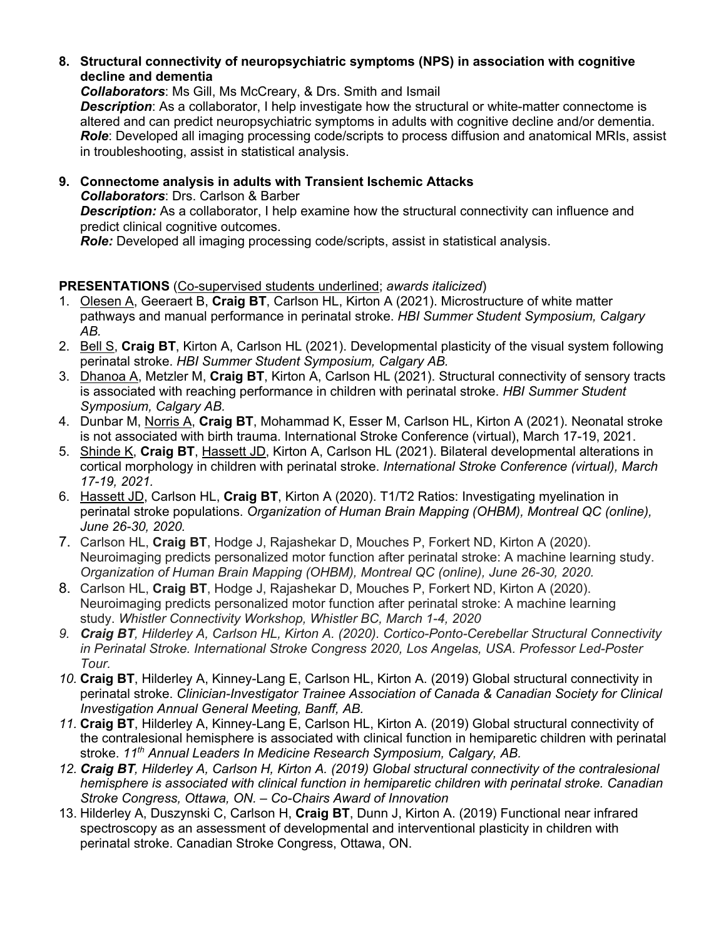### **8. Structural connectivity of neuropsychiatric symptoms (NPS) in association with cognitive decline and dementia**

*Collaborators*: Ms Gill, Ms McCreary, & Drs. Smith and Ismail

*Description*: As a collaborator, I help investigate how the structural or white-matter connectome is altered and can predict neuropsychiatric symptoms in adults with cognitive decline and/or dementia. *Role*: Developed all imaging processing code/scripts to process diffusion and anatomical MRIs, assist in troubleshooting, assist in statistical analysis.

**9. Connectome analysis in adults with Transient Ischemic Attacks**  *Collaborators*: Drs. Carlson & Barber **Description:** As a collaborator, I help examine how the structural connectivity can influence and predict clinical cognitive outcomes.

*Role:* Developed all imaging processing code/scripts, assist in statistical analysis.

# **PRESENTATIONS** (Co-supervised students underlined; *awards italicized*)

- 1. Olesen A, Geeraert B, **Craig BT**, Carlson HL, Kirton A (2021). Microstructure of white matter pathways and manual performance in perinatal stroke. *HBI Summer Student Symposium, Calgary AB.*
- 2. Bell S, **Craig BT**, Kirton A, Carlson HL (2021). Developmental plasticity of the visual system following perinatal stroke. *HBI Summer Student Symposium, Calgary AB.*
- 3. Dhanoa A, Metzler M, **Craig BT**, Kirton A, Carlson HL (2021). Structural connectivity of sensory tracts is associated with reaching performance in children with perinatal stroke. *HBI Summer Student Symposium, Calgary AB.*
- 4. Dunbar M, Norris A, **Craig BT**, Mohammad K, Esser M, Carlson HL, Kirton A (2021). Neonatal stroke is not associated with birth trauma. International Stroke Conference (virtual), March 17-19, 2021.
- 5. Shinde K, **Craig BT**, Hassett JD, Kirton A, Carlson HL (2021). Bilateral developmental alterations in cortical morphology in children with perinatal stroke. *International Stroke Conference (virtual), March 17-19, 2021.*
- 6. Hassett JD, Carlson HL, **Craig BT**, Kirton A (2020). T1/T2 Ratios: Investigating myelination in perinatal stroke populations. *Organization of Human Brain Mapping (OHBM), Montreal QC (online), June 26-30, 2020.*
- 7. Carlson HL, **Craig BT**, Hodge J, Rajashekar D, Mouches P, Forkert ND, Kirton A (2020). Neuroimaging predicts personalized motor function after perinatal stroke: A machine learning study. *Organization of Human Brain Mapping (OHBM), Montreal QC (online), June 26-30, 2020.*
- 8. Carlson HL, **Craig BT**, Hodge J, Rajashekar D, Mouches P, Forkert ND, Kirton A (2020). Neuroimaging predicts personalized motor function after perinatal stroke: A machine learning study. *Whistler Connectivity Workshop, Whistler BC, March 1-4, 2020*
- *9. Craig BT, Hilderley A, Carlson HL, Kirton A. (2020). Cortico-Ponto-Cerebellar Structural Connectivity in Perinatal Stroke. International Stroke Congress 2020, Los Angelas, USA. Professor Led-Poster Tour.*
- *10.* **Craig BT**, Hilderley A, Kinney-Lang E, Carlson HL, Kirton A. (2019) Global structural connectivity in perinatal stroke. *Clinician-Investigator Trainee Association of Canada & Canadian Society for Clinical Investigation Annual General Meeting, Banff, AB.*
- *11.* **Craig BT**, Hilderley A, Kinney-Lang E, Carlson HL, Kirton A. (2019) Global structural connectivity of the contralesional hemisphere is associated with clinical function in hemiparetic children with perinatal stroke. *11th Annual Leaders In Medicine Research Symposium, Calgary, AB.*
- *12. Craig BT, Hilderley A, Carlson H, Kirton A. (2019) Global structural connectivity of the contralesional hemisphere is associated with clinical function in hemiparetic children with perinatal stroke. Canadian Stroke Congress, Ottawa, ON. – Co-Chairs Award of Innovation*
- 13. Hilderley A, Duszynski C, Carlson H, **Craig BT**, Dunn J, Kirton A. (2019) Functional near infrared spectroscopy as an assessment of developmental and interventional plasticity in children with perinatal stroke. Canadian Stroke Congress, Ottawa, ON.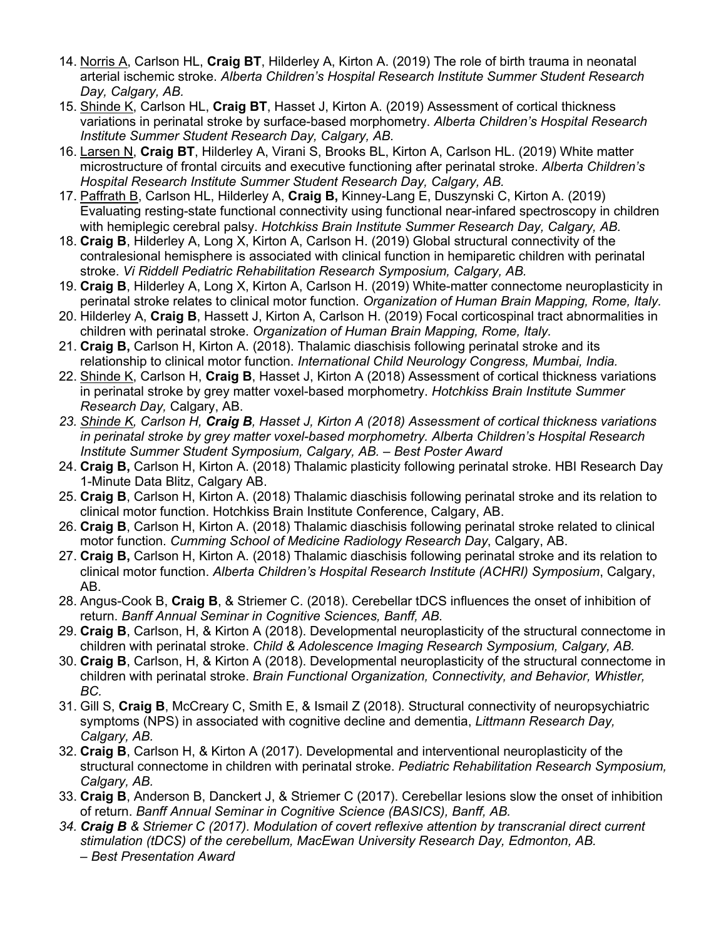- 14. Norris A, Carlson HL, **Craig BT**, Hilderley A, Kirton A. (2019) The role of birth trauma in neonatal arterial ischemic stroke. *Alberta Children's Hospital Research Institute Summer Student Research Day, Calgary, AB.*
- 15. Shinde K, Carlson HL, **Craig BT**, Hasset J, Kirton A. (2019) Assessment of cortical thickness variations in perinatal stroke by surface-based morphometry. *Alberta Children's Hospital Research Institute Summer Student Research Day, Calgary, AB.*
- 16. Larsen N, **Craig BT**, Hilderley A, Virani S, Brooks BL, Kirton A, Carlson HL. (2019) White matter microstructure of frontal circuits and executive functioning after perinatal stroke. *Alberta Children's Hospital Research Institute Summer Student Research Day, Calgary, AB.*
- 17. Paffrath B, Carlson HL, Hilderley A, **Craig B,** Kinney-Lang E, Duszynski C, Kirton A. (2019) Evaluating resting-state functional connectivity using functional near-infared spectroscopy in children with hemiplegic cerebral palsy. *Hotchkiss Brain Institute Summer Research Day, Calgary, AB.*
- 18. **Craig B**, Hilderley A, Long X, Kirton A, Carlson H. (2019) Global structural connectivity of the contralesional hemisphere is associated with clinical function in hemiparetic children with perinatal stroke. *Vi Riddell Pediatric Rehabilitation Research Symposium, Calgary, AB.*
- 19. **Craig B**, Hilderley A, Long X, Kirton A, Carlson H. (2019) White-matter connectome neuroplasticity in perinatal stroke relates to clinical motor function. *Organization of Human Brain Mapping, Rome, Italy.*
- 20. Hilderley A, **Craig B**, Hassett J, Kirton A, Carlson H. (2019) Focal corticospinal tract abnormalities in children with perinatal stroke. *Organization of Human Brain Mapping, Rome, Italy.*
- 21. **Craig B,** Carlson H, Kirton A. (2018). Thalamic diaschisis following perinatal stroke and its relationship to clinical motor function. *International Child Neurology Congress, Mumbai, India.*
- 22. Shinde K, Carlson H, **Craig B**, Hasset J, Kirton A (2018) Assessment of cortical thickness variations in perinatal stroke by grey matter voxel-based morphometry. *Hotchkiss Brain Institute Summer Research Day,* Calgary, AB.
- *23. Shinde K, Carlson H, Craig B, Hasset J, Kirton A (2018) Assessment of cortical thickness variations in perinatal stroke by grey matter voxel-based morphometry. Alberta Children's Hospital Research Institute Summer Student Symposium, Calgary, AB. – Best Poster Award*
- 24. **Craig B,** Carlson H, Kirton A. (2018) Thalamic plasticity following perinatal stroke. HBI Research Day 1-Minute Data Blitz, Calgary AB.
- 25. **Craig B**, Carlson H, Kirton A. (2018) Thalamic diaschisis following perinatal stroke and its relation to clinical motor function. Hotchkiss Brain Institute Conference, Calgary, AB.
- 26. **Craig B**, Carlson H, Kirton A. (2018) Thalamic diaschisis following perinatal stroke related to clinical motor function. *Cumming School of Medicine Radiology Research Day*, Calgary, AB.
- 27. **Craig B,** Carlson H, Kirton A. (2018) Thalamic diaschisis following perinatal stroke and its relation to clinical motor function. *Alberta Children's Hospital Research Institute (ACHRI) Symposium*, Calgary, AB.
- 28. Angus-Cook B, **Craig B**, & Striemer C. (2018). Cerebellar tDCS influences the onset of inhibition of return. *Banff Annual Seminar in Cognitive Sciences, Banff, AB.*
- 29. **Craig B**, Carlson, H, & Kirton A (2018). Developmental neuroplasticity of the structural connectome in children with perinatal stroke. *Child & Adolescence Imaging Research Symposium, Calgary, AB.*
- 30. **Craig B**, Carlson, H, & Kirton A (2018). Developmental neuroplasticity of the structural connectome in children with perinatal stroke. *Brain Functional Organization, Connectivity, and Behavior, Whistler, BC.*
- 31. Gill S, **Craig B**, McCreary C, Smith E, & Ismail Z (2018). Structural connectivity of neuropsychiatric symptoms (NPS) in associated with cognitive decline and dementia, *Littmann Research Day, Calgary, AB.*
- 32. **Craig B**, Carlson H, & Kirton A (2017). Developmental and interventional neuroplasticity of the structural connectome in children with perinatal stroke. *Pediatric Rehabilitation Research Symposium, Calgary, AB.*
- 33. **Craig B**, Anderson B, Danckert J, & Striemer C (2017). Cerebellar lesions slow the onset of inhibition of return. *Banff Annual Seminar in Cognitive Science (BASICS), Banff, AB.*
- *34. Craig B & Striemer C (2017). Modulation of covert reflexive attention by transcranial direct current stimulation (tDCS) of the cerebellum, MacEwan University Research Day, Edmonton, AB. – Best Presentation Award*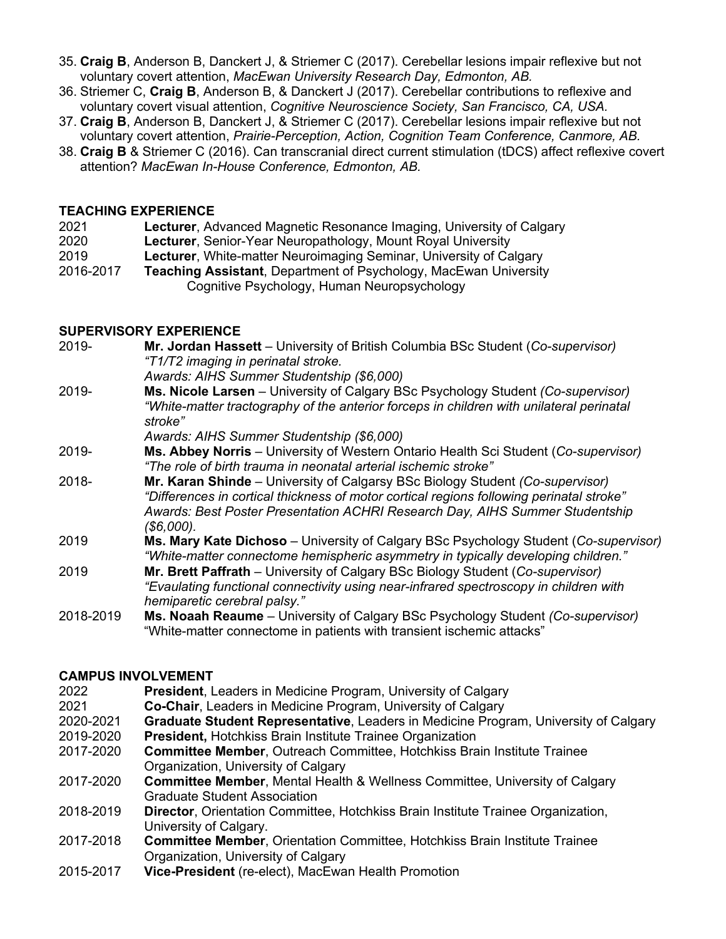- 35. **Craig B**, Anderson B, Danckert J, & Striemer C (2017). Cerebellar lesions impair reflexive but not voluntary covert attention, *MacEwan University Research Day, Edmonton, AB.*
- 36. Striemer C, **Craig B**, Anderson B, & Danckert J (2017). Cerebellar contributions to reflexive and voluntary covert visual attention, *Cognitive Neuroscience Society, San Francisco, CA, USA.*
- 37. **Craig B**, Anderson B, Danckert J, & Striemer C (2017). Cerebellar lesions impair reflexive but not voluntary covert attention, *Prairie-Perception, Action, Cognition Team Conference, Canmore, AB.*
- 38. **Craig B** & Striemer C (2016). Can transcranial direct current stimulation (tDCS) affect reflexive covert attention? *MacEwan In-House Conference, Edmonton, AB.*

#### **TEACHING EXPERIENCE**

| 2021 |  | Lecturer, Advanced Magnetic Resonance Imaging, University of Calgary |  |  |  |
|------|--|----------------------------------------------------------------------|--|--|--|
|------|--|----------------------------------------------------------------------|--|--|--|

- 2020 **Lecturer**, Senior-Year Neuropathology, Mount Royal University
- 2019 **Lecturer**, White-matter Neuroimaging Seminar, University of Calgary
- 2016-2017 **Teaching Assistant**, Department of Psychology, MacEwan University Cognitive Psychology, Human Neuropsychology

### **SUPERVISORY EXPERIENCE**

| 2019-     | Mr. Jordan Hassett - University of British Columbia BSc Student (Co-supervisor)<br>"T1/T2 imaging in perinatal stroke.                                                                                                                                                  |
|-----------|-------------------------------------------------------------------------------------------------------------------------------------------------------------------------------------------------------------------------------------------------------------------------|
|           | Awards: AIHS Summer Studentship (\$6,000)                                                                                                                                                                                                                               |
| 2019-     | Ms. Nicole Larsen – University of Calgary BSc Psychology Student (Co-supervisor)                                                                                                                                                                                        |
|           | "White-matter tractography of the anterior forceps in children with unilateral perinatal<br>stroke"                                                                                                                                                                     |
|           | Awards: AIHS Summer Studentship (\$6,000)                                                                                                                                                                                                                               |
| 2019-     | Ms. Abbey Norris - University of Western Ontario Health Sci Student (Co-supervisor)<br>"The role of birth trauma in neonatal arterial ischemic stroke"                                                                                                                  |
| 2018-     | Mr. Karan Shinde – University of Calgarsy BSc Biology Student (Co-supervisor)<br>"Differences in cortical thickness of motor cortical regions following perinatal stroke"<br>Awards: Best Poster Presentation ACHRI Research Day, AIHS Summer Studentship<br>(\$6,000). |
| 2019      | Ms. Mary Kate Dichoso - University of Calgary BSc Psychology Student (Co-supervisor)<br>"White-matter connectome hemispheric asymmetry in typically developing children."                                                                                               |
| 2019      | Mr. Brett Paffrath – University of Calgary BSc Biology Student (Co-supervisor)<br>"Evaulating functional connectivity using near-infrared spectroscopy in children with<br>hemiparetic cerebral palsy."                                                                 |
| 2018-2019 | <b>Ms. Noaah Reaume</b> – University of Calgary BSc Psychology Student (Co-supervisor)<br>"White-matter connectome in patients with transient ischemic attacks"                                                                                                         |

#### **CAMPUS INVOLVEMENT**

- 2022 **President**, Leaders in Medicine Program, University of Calgary
- 2021 **Co-Chair**, Leaders in Medicine Program, University of Calgary
- 2020-2021 **Graduate Student Representative**, Leaders in Medicine Program, University of Calgary
- 2019-2020 **President,** Hotchkiss Brain Institute Trainee Organization
- 2017-2020 **Committee Member**, Outreach Committee, Hotchkiss Brain Institute Trainee Organization, University of Calgary
- 2017-2020 **Committee Member**, Mental Health & Wellness Committee, University of Calgary Graduate Student Association
- 2018-2019 **Director**, Orientation Committee, Hotchkiss Brain Institute Trainee Organization, University of Calgary.
- 2017-2018 **Committee Member**, Orientation Committee, Hotchkiss Brain Institute Trainee Organization, University of Calgary
- 2015-2017 **Vice-President** (re-elect), MacEwan Health Promotion